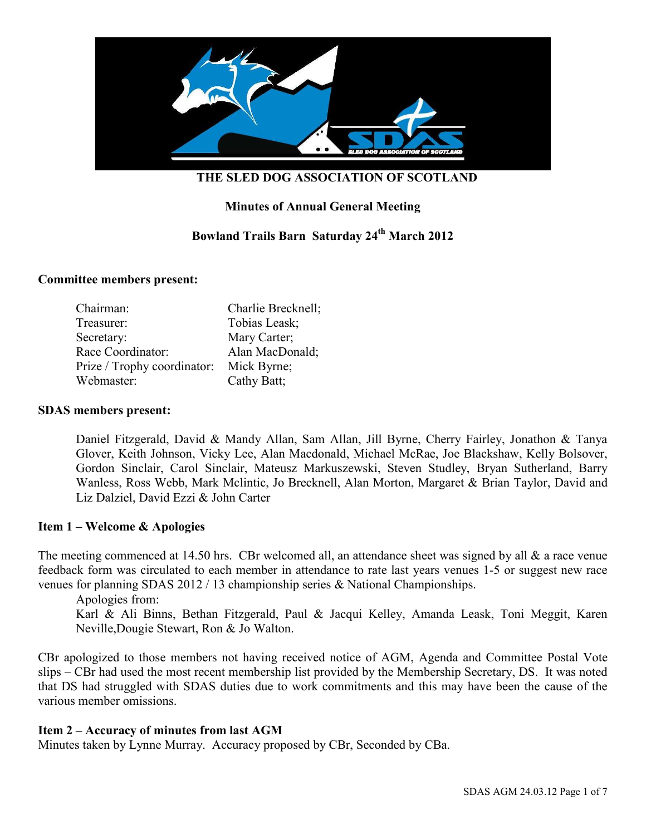

# **Minutes of Annual General Meeting**

# **Bowland Trails Barn Saturday 24th March 2012**

#### **Committee members present:**

| Chairman:                   | Charlie Brecknell; |
|-----------------------------|--------------------|
| Treasurer:                  | Tobias Leask;      |
| Secretary:                  | Mary Carter;       |
| Race Coordinator:           | Alan MacDonald;    |
| Prize / Trophy coordinator: | Mick Byrne;        |
| Webmaster:                  | Cathy Batt;        |

#### **SDAS members present:**

Daniel Fitzgerald, David & Mandy Allan, Sam Allan, Jill Byrne, Cherry Fairley, Jonathon & Tanya Glover, Keith Johnson, Vicky Lee, Alan Macdonald, Michael McRae, Joe Blackshaw, Kelly Bolsover, Gordon Sinclair, Carol Sinclair, Mateusz Markuszewski, Steven Studley, Bryan Sutherland, Barry Wanless, Ross Webb, Mark Mclintic, Jo Brecknell, Alan Morton, Margaret & Brian Taylor, David and Liz Dalziel, David Ezzi & John Carter

#### **Item 1 – Welcome & Apologies**

The meeting commenced at 14.50 hrs. CBr welcomed all, an attendance sheet was signed by all  $\&$  a race venue feedback form was circulated to each member in attendance to rate last years venues 1-5 or suggest new race venues for planning SDAS 2012 / 13 championship series & National Championships.

Apologies from: Karl & Ali Binns, Bethan Fitzgerald, Paul & Jacqui Kelley, Amanda Leask, Toni Meggit, Karen Neville,Dougie Stewart, Ron & Jo Walton.

CBr apologized to those members not having received notice of AGM, Agenda and Committee Postal Vote slips – CBr had used the most recent membership list provided by the Membership Secretary, DS. It was noted that DS had struggled with SDAS duties due to work commitments and this may have been the cause of the various member omissions.

#### **Item 2 – Accuracy of minutes from last AGM**

Minutes taken by Lynne Murray. Accuracy proposed by CBr, Seconded by CBa.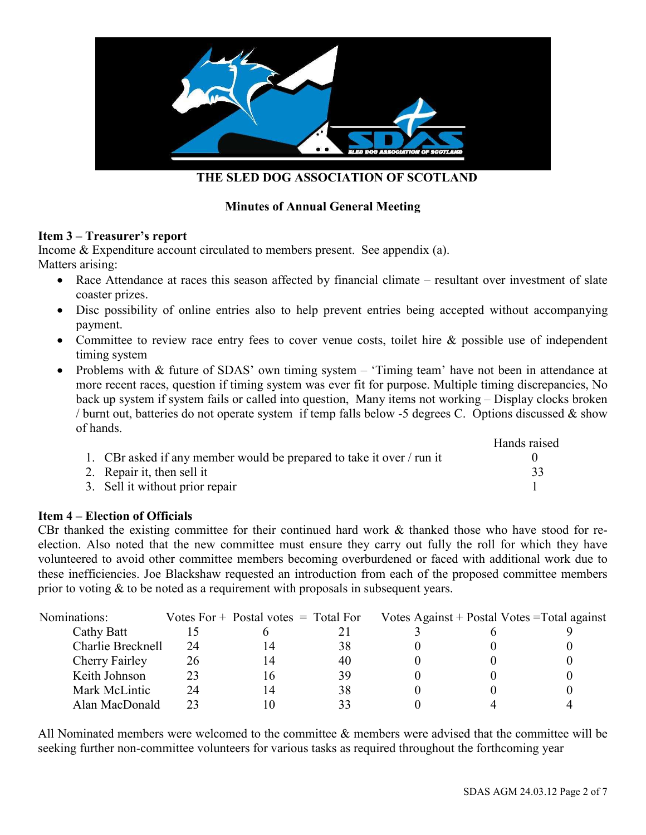

# **Minutes of Annual General Meeting**

#### **Item 3 – Treasurer's report**

Income & Expenditure account circulated to members present. See appendix (a). Matters arising:

- Race Attendance at races this season affected by financial climate resultant over investment of slate coaster prizes.
- Disc possibility of online entries also to help prevent entries being accepted without accompanying payment.
- Committee to review race entry fees to cover venue costs, toilet hire & possible use of independent timing system
- Problems with & future of SDAS' own timing system 'Timing team' have not been in attendance at more recent races, question if timing system was ever fit for purpose. Multiple timing discrepancies, No back up system if system fails or called into question, Many items not working – Display clocks broken / burnt out, batteries do not operate system if temp falls below -5 degrees C. Options discussed & show of hands.

|                                                                       | Hands raised |
|-----------------------------------------------------------------------|--------------|
| 1. CBr asked if any member would be prepared to take it over / run it |              |
| 2. Repair it, then sell it                                            |              |
| 3. Sell it without prior repair                                       |              |

## **Item 4 – Election of Officials**

CBr thanked the existing committee for their continued hard work & thanked those who have stood for reelection. Also noted that the new committee must ensure they carry out fully the roll for which they have volunteered to avoid other committee members becoming overburdened or faced with additional work due to these inefficiencies. Joe Blackshaw requested an introduction from each of the proposed committee members prior to voting & to be noted as a requirement with proposals in subsequent years.

| Nominations:      |    | Votes $For +$ Postal votes $=$ Total For |    |  | Votes Against + Postal Votes = Total against |
|-------------------|----|------------------------------------------|----|--|----------------------------------------------|
| Cathy Batt        |    |                                          |    |  |                                              |
| Charlie Brecknell | 24 | 14                                       | 38 |  |                                              |
| Cherry Fairley    | 26 | 14                                       | 40 |  |                                              |
| Keith Johnson     | 23 | Iб                                       | 39 |  |                                              |
| Mark McLintic     | 24 | 14                                       | 38 |  |                                              |
| Alan MacDonald    | 23 | Ю                                        | 33 |  |                                              |

All Nominated members were welcomed to the committee & members were advised that the committee will be seeking further non-committee volunteers for various tasks as required throughout the forthcoming year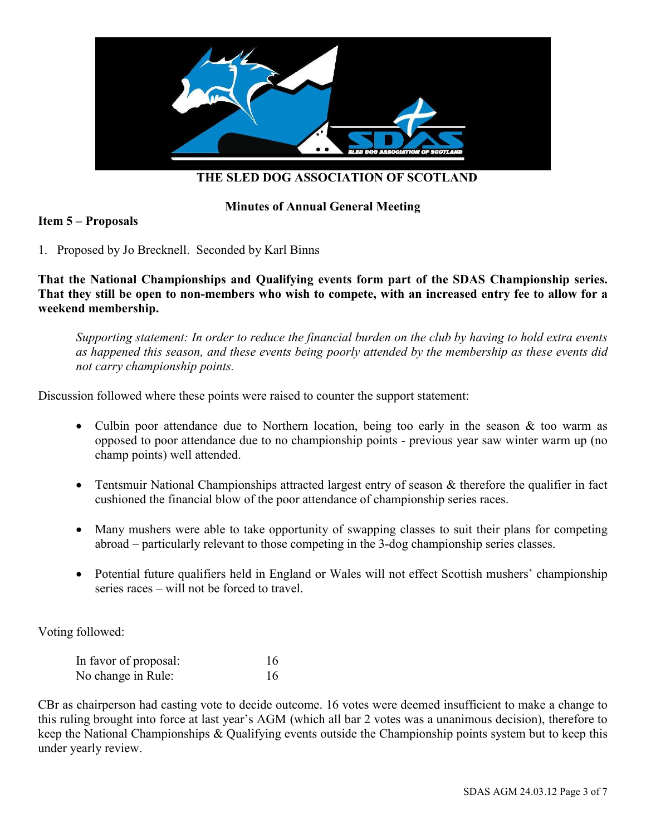

### **Minutes of Annual General Meeting**

#### **Item 5 – Proposals**

1. Proposed by Jo Brecknell. Seconded by Karl Binns

**That the National Championships and Qualifying events form part of the SDAS Championship series. That they still be open to non-members who wish to compete, with an increased entry fee to allow for a weekend membership.** 

*Supporting statement: In order to reduce the financial burden on the club by having to hold extra events as happened this season, and these events being poorly attended by the membership as these events did not carry championship points.* 

Discussion followed where these points were raised to counter the support statement:

- Culbin poor attendance due to Northern location, being too early in the season & too warm as opposed to poor attendance due to no championship points - previous year saw winter warm up (no champ points) well attended.
- Tentsmuir National Championships attracted largest entry of season & therefore the qualifier in fact cushioned the financial blow of the poor attendance of championship series races.
- Many mushers were able to take opportunity of swapping classes to suit their plans for competing abroad – particularly relevant to those competing in the 3-dog championship series classes.
- Potential future qualifiers held in England or Wales will not effect Scottish mushers' championship series races – will not be forced to travel.

Voting followed:

| In favor of proposal: | 16 |
|-----------------------|----|
| No change in Rule:    | 16 |

CBr as chairperson had casting vote to decide outcome. 16 votes were deemed insufficient to make a change to this ruling brought into force at last year's AGM (which all bar 2 votes was a unanimous decision), therefore to keep the National Championships & Qualifying events outside the Championship points system but to keep this under yearly review.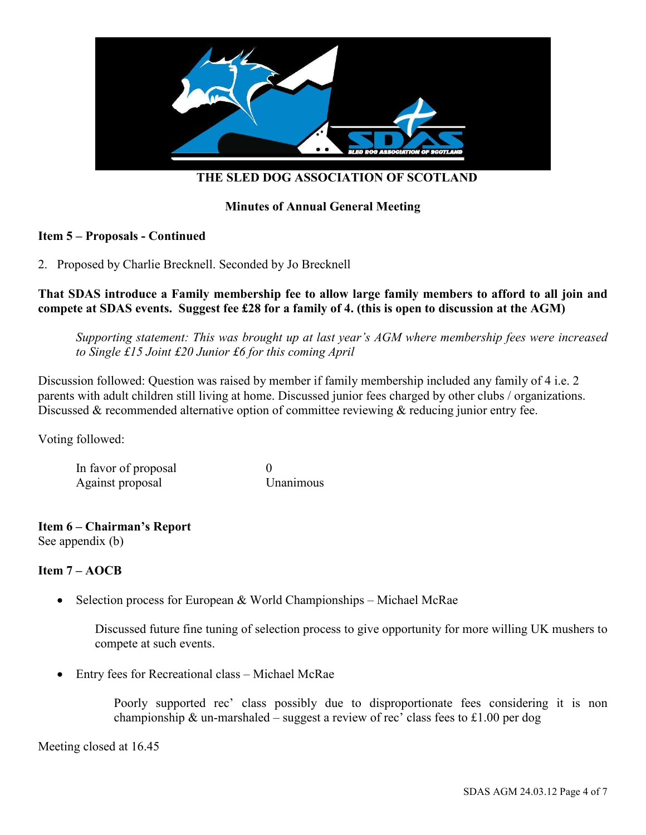

## **Minutes of Annual General Meeting**

#### **Item 5 – Proposals - Continued**

2. Proposed by Charlie Brecknell. Seconded by Jo Brecknell

#### **That SDAS introduce a Family membership fee to allow large family members to afford to all join and compete at SDAS events. Suggest fee £28 for a family of 4. (this is open to discussion at the AGM)**

*Supporting statement: This was brought up at last year's AGM where membership fees were increased to Single £15 Joint £20 Junior £6 for this coming April* 

Discussion followed: Question was raised by member if family membership included any family of 4 i.e. 2 parents with adult children still living at home. Discussed junior fees charged by other clubs / organizations. Discussed & recommended alternative option of committee reviewing & reducing junior entry fee.

Voting followed:

In favor of proposal 0 Against proposal Unanimous

# **Item 6 – Chairman's Report**

See appendix (b)

## **Item 7 – AOCB**

• Selection process for European & World Championships – Michael McRae

Discussed future fine tuning of selection process to give opportunity for more willing UK mushers to compete at such events.

• Entry fees for Recreational class – Michael McRae

Poorly supported rec' class possibly due to disproportionate fees considering it is non championship  $\&$  un-marshaled – suggest a review of rec' class fees to £1.00 per dog

Meeting closed at 16.45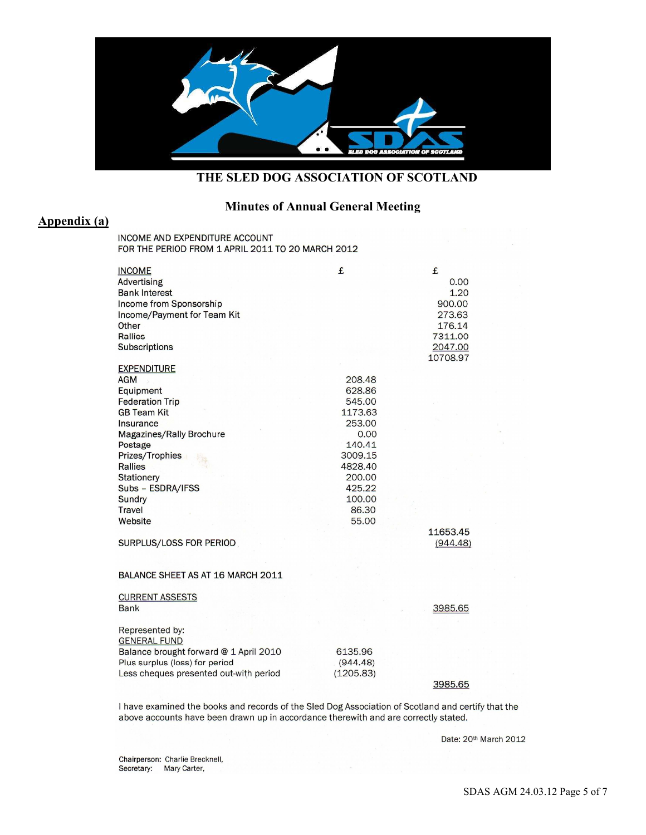

# **Minutes of Annual General Meeting**

# **Appendix (a)**

INCOME AND EXPENDITURE ACCOUNT FOR THE PERIOD FROM 1 APRIL 2011 TO 20 MARCH 2012

| <b>INCOME</b><br><b>Advertising</b><br><b>Bank Interest</b><br>Income from Sponsorship<br>Income/Payment for Team Kit<br>Other<br><b>Rallies</b><br><b>Subscriptions</b>                                                                                                      | £                                                                                                                                       | £<br>0.00<br>1.20<br>900.00<br>273.63<br>176.14<br>7311.00<br>2047.00<br>10708.97 |
|-------------------------------------------------------------------------------------------------------------------------------------------------------------------------------------------------------------------------------------------------------------------------------|-----------------------------------------------------------------------------------------------------------------------------------------|-----------------------------------------------------------------------------------|
| <b>EXPENDITURE</b><br><b>AGM</b><br>Equipment<br><b>Federation Trip</b><br><b>GB Team Kit</b><br>Insurance<br>Magazines/Rally Brochure<br>Postage<br>Prizes/Trophies<br><b>Rallies</b><br><b>Stationery</b><br>Subs - ESDRA/IFSS<br><b>Sundry</b><br><b>Travel</b><br>Website | 208.48<br>628.86<br>545.00<br>1173.63<br>253.00<br>0.00<br>140.41<br>3009.15<br>4828.40<br>200.00<br>425.22<br>100.00<br>86.30<br>55.00 | 11653.45                                                                          |
| SURPLUS/LOSS FOR PERIOD<br>BALANCE SHEET AS AT 16 MARCH 2011                                                                                                                                                                                                                  |                                                                                                                                         | (944.48)                                                                          |
| <b>CURRENT ASSESTS</b><br><b>Bank</b>                                                                                                                                                                                                                                         |                                                                                                                                         | 3985.65                                                                           |
| Represented by:<br><b>GENERAL FUND</b><br>Balance brought forward @ 1 April 2010<br>Plus surplus (loss) for period<br>Less cheques presented out-with period                                                                                                                  | 6135.96<br>(944.48)<br>(1205.83)                                                                                                        | 3985.65                                                                           |

I have examined the books and records of the Sled Dog Association of Scotland and certify that the above accounts have been drawn up in accordance therewith and are correctly stated.

Date: 20th March 2012

Chairperson: Charlie Brecknell, Secretary: Mary Carter,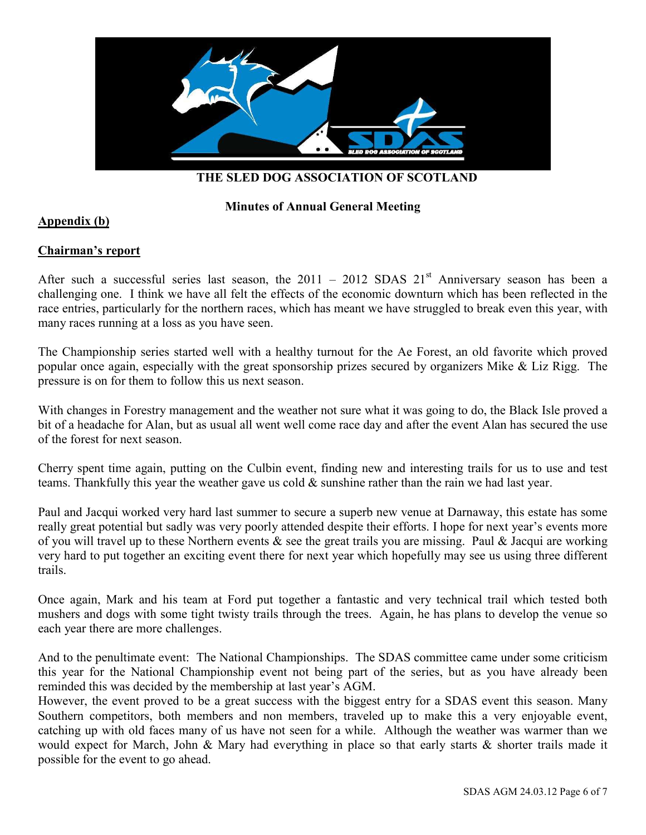

### **Minutes of Annual General Meeting**

#### **Appendix (b)**

#### **Chairman's report**

After such a successful series last season, the  $2011 - 2012$  SDAS  $21<sup>st</sup>$  Anniversary season has been a challenging one. I think we have all felt the effects of the economic downturn which has been reflected in the race entries, particularly for the northern races, which has meant we have struggled to break even this year, with many races running at a loss as you have seen.

The Championship series started well with a healthy turnout for the Ae Forest, an old favorite which proved popular once again, especially with the great sponsorship prizes secured by organizers Mike & Liz Rigg. The pressure is on for them to follow this us next season.

With changes in Forestry management and the weather not sure what it was going to do, the Black Isle proved a bit of a headache for Alan, but as usual all went well come race day and after the event Alan has secured the use of the forest for next season.

Cherry spent time again, putting on the Culbin event, finding new and interesting trails for us to use and test teams. Thankfully this year the weather gave us cold & sunshine rather than the rain we had last year.

Paul and Jacqui worked very hard last summer to secure a superb new venue at Darnaway, this estate has some really great potential but sadly was very poorly attended despite their efforts. I hope for next year's events more of you will travel up to these Northern events  $\&$  see the great trails you are missing. Paul  $\&$  Jacqui are working very hard to put together an exciting event there for next year which hopefully may see us using three different trails.

Once again, Mark and his team at Ford put together a fantastic and very technical trail which tested both mushers and dogs with some tight twisty trails through the trees. Again, he has plans to develop the venue so each year there are more challenges.

And to the penultimate event: The National Championships. The SDAS committee came under some criticism this year for the National Championship event not being part of the series, but as you have already been reminded this was decided by the membership at last year's AGM.

However, the event proved to be a great success with the biggest entry for a SDAS event this season. Many Southern competitors, both members and non members, traveled up to make this a very enjoyable event, catching up with old faces many of us have not seen for a while. Although the weather was warmer than we would expect for March, John & Mary had everything in place so that early starts & shorter trails made it possible for the event to go ahead.